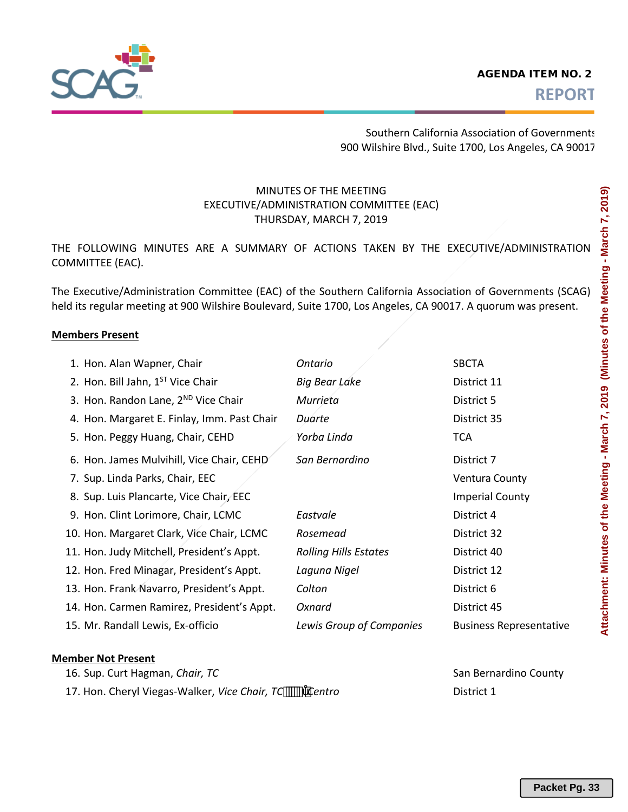

Southern California Association of Governments 900 Wilshire Blvd., Suite 1700, Los Angeles, CA 90017

# MINUTES OF THE MEETING EXECUTIVE/ADMINISTRATION COMMITTEE (EAC) THURSDAY, MARCH 7, 2019

THE FOLLOWING MINUTES ARE A SUMMARY OF ACTIONS TAKEN BY THE EXECUTIVE/ADMINISTRATION COMMITTEE (EAC).

The Executive/Administration Committee (EAC) of the Southern California Association of Governments (SCAG) held its regular meeting at 900 Wilshire Boulevard, Suite 1700, Los Angeles, CA 90017. A quorum was present.

#### **Members Present**

| 1. Hon. Alan Wapner, Chair                    | Ontario                      | <b>SBCTA</b>                   |
|-----------------------------------------------|------------------------------|--------------------------------|
| 2. Hon. Bill Jahn, 1 <sup>ST</sup> Vice Chair | <b>Big Bear Lake</b>         | District 11                    |
| 3. Hon. Randon Lane, 2ND Vice Chair           | Murrieta                     | District 5                     |
| 4. Hon. Margaret E. Finlay, Imm. Past Chair   | Duarte                       | District 35                    |
| 5. Hon. Peggy Huang, Chair, CEHD              | Yorba Linda                  | <b>TCA</b>                     |
| 6. Hon. James Mulvihill, Vice Chair, CEHD     | San Bernardino               | District 7                     |
| 7. Sup. Linda Parks, Chair, EEC               |                              | Ventura County                 |
| 8. Sup. Luis Plancarte, Vice Chair, EEC       |                              | <b>Imperial County</b>         |
| 9. Hon. Clint Lorimore, Chair, LCMC           | Eastvale                     | District 4                     |
| 10. Hon. Margaret Clark, Vice Chair, LCMC     | Rosemead                     | District 32                    |
| 11. Hon. Judy Mitchell, President's Appt.     | <b>Rolling Hills Estates</b> | District 40                    |
| 12. Hon. Fred Minagar, President's Appt.      | Laguna Nigel                 | District 12                    |
| 13. Hon. Frank Navarro, President's Appt.     | Colton                       | District 6                     |
| 14. Hon. Carmen Ramirez, President's Appt.    | Oxnard                       | District 45                    |
| 15. Mr. Randall Lewis, Ex-officio             | Lewis Group of Companies     | <b>Business Representative</b> |

#### **Member Not Present**

| 16. Sup. Curt Hagman, Chair, TC                       | San Bern   |
|-------------------------------------------------------|------------|
| 17. Hon. Cheryl Viegas-Walker, Vice Chair, TC  Centro | District 1 |

**San Bernardino County**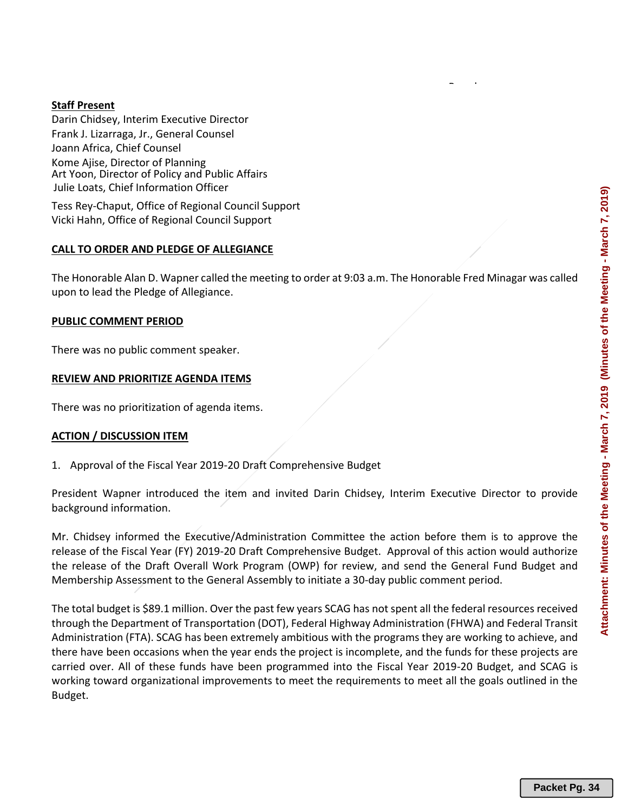## **Staff Present**

Darin Chidsey, Interim Executive Director Frank J. Lizarraga, Jr., General Counsel Joann Africa, Chief Counsel Kome Ajise, Director of Planning Julie Loats, Chief Information Officer Art Yoon, Director of Policy and Public Affairs

Tess Rey-Chaput, Office of Regional Council Support Vicki Hahn, Office of Regional Council Support

#### **CALL TO ORDER AND PLEDGE OF ALLEGIANCE**

The Honorable Alan D. Wapner called the meeting to order at 9:03 a.m. The Honorable Fred Minagar was called upon to lead the Pledge of Allegiance.

Board

#### **PUBLIC COMMENT PERIOD**

There was no public comment speaker.

#### **REVIEW AND PRIORITIZE AGENDA ITEMS**

There was no prioritization of agenda items.

#### **ACTION / DISCUSSION ITEM**

1. Approval of the Fiscal Year 2019-20 Draft Comprehensive Budget

President Wapner introduced the item and invited Darin Chidsey, Interim Executive Director to provide background information.

Mr. Chidsey informed the Executive/Administration Committee the action before them is to approve the release of the Fiscal Year (FY) 2019-20 Draft Comprehensive Budget. Approval of this action would authorize the release of the Draft Overall Work Program (OWP) for review, and send the General Fund Budget and Membership Assessment to the General Assembly to initiate a 30-day public comment period.

The total budget is \$89.1 million. Over the past few years SCAG has not spent all the federal resources received through the Department of Transportation (DOT), Federal Highway Administration (FHWA) and Federal Transit Administration (FTA). SCAG has been extremely ambitious with the programs they are working to achieve, and there have been occasions when the year ends the project is incomplete, and the funds for these projects are carried over. All of these funds have been programmed into the Fiscal Year 2019-20 Budget, and SCAG is working toward organizational improvements to meet the requirements to meet all the goals outlined in the Budget.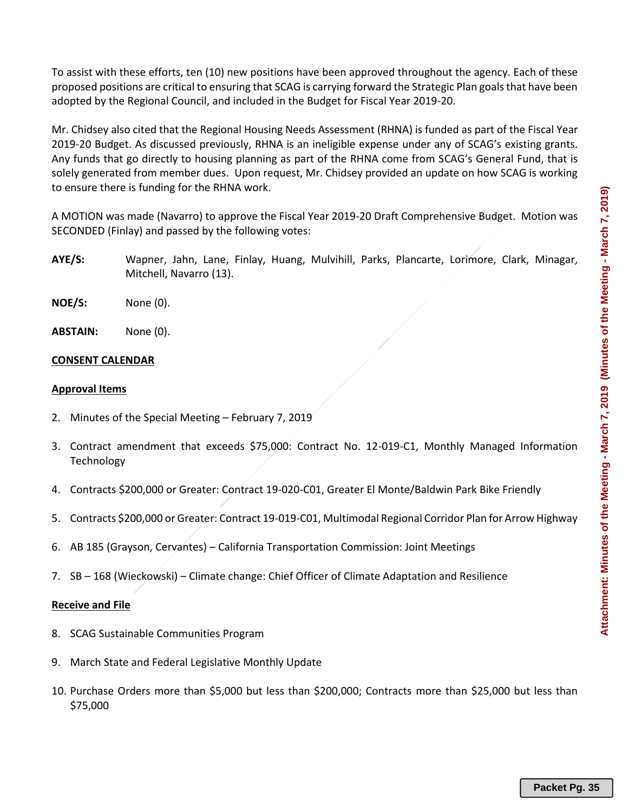To assist with these efforts, ten (10) new positions have been approved throughout the agency. Each of these proposed positions are critical to ensuring that SCAG is carrying forward the Strategic Plan goals that have been adopted by the Regional Council, and included in the Budget for Fiscal Year 2019-20.

Mr. Chidsey also cited that the Regional Housing Needs Assessment (RHNA) is funded as part of the Fiscal Year 2019-20 Budget. As discussed previously, RHNA is an ineligible expense under any of SCAG's existing grants. Any funds that go directly to housing planning as part of the RHNA come from SCAG's General Fund, that is solely generated from member dues. Upon request, Mr. Chidsey provided an update on how SCAG is working to ensure there is funding for the RHNA work.

A MOTION was made (Navarro) to approve the Fiscal Year 2019-20 Draft Comprehensive Budget. Motion was SECONDED (Finlay) and passed by the following votes:

- **AYE/S:** Wapner, Jahn, Lane, Finlay, Huang, Mulvihill, Parks, Plancarte, Lorimore, Clark, Minagar, Mitchell, Navarro (13).
- **NOE/S:** None (0).
- **ABSTAIN:** None (0).

# **CONSENT CALENDAR**

#### **Approval Items**

- 2. Minutes of the Special Meeting February 7, 2019
- 3. Contract amendment that exceeds \$75,000: Contract No. 12-019-C1, Monthly Managed Information **Technology**
- 4. Contracts \$200,000 or Greater: Contract 19-020-C01, Greater El Monte/Baldwin Park Bike Friendly
- 5. Contracts \$200,000 or Greater: Contract 19-019-C01, Multimodal Regional Corridor Plan for Arrow Highway
- 6. AB 185 (Grayson, Cervantes) California Transportation Commission: Joint Meetings
- 7. SB 168 (Wieckowski) Climate change: Chief Officer of Climate Adaptation and Resilience

#### **Receive and File**

- 8. SCAG Sustainable Communities Program
- 9. March State and Federal Legislative Monthly Update
- 10. Purchase Orders more than \$5,000 but less than \$200,000; Contracts more than \$25,000 but less than \$75,000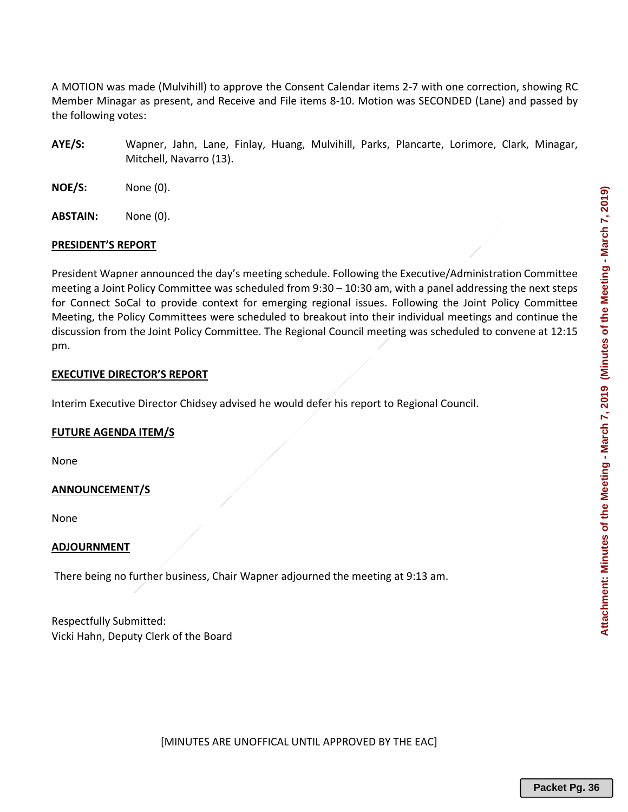A MOTION was made (Mulvihill) to approve the Consent Calendar items 2-7 with one correction, showing RC Member Minagar as present, and Receive and File items 8-10. Motion was SECONDED (Lane) and passed by the following votes:

- **AYE/S:** Wapner, Jahn, Lane, Finlay, Huang, Mulvihill, Parks, Plancarte, Lorimore, Clark, Minagar, Mitchell, Navarro (13).
- **NOE/S:** None (0).
- **ABSTAIN:** None (0).

#### **PRESIDENT'S REPORT**

President Wapner announced the day's meeting schedule. Following the Executive/Administration Committee meeting a Joint Policy Committee was scheduled from 9:30 – 10:30 am, with a panel addressing the next steps for Connect SoCal to provide context for emerging regional issues. Following the Joint Policy Committee Meeting, the Policy Committees were scheduled to breakout into their individual meetings and continue the discussion from the Joint Policy Committee. The Regional Council meeting was scheduled to convene at 12:15 pm.

#### **EXECUTIVE DIRECTOR'S REPORT**

Interim Executive Director Chidsey advised he would defer his report to Regional Council.

#### **FUTURE AGENDA ITEM/S**

None

#### **ANNOUNCEMENT/S**

None

### **ADJOURNMENT**

There being no further business, Chair Wapner adjourned the meeting at 9:13 am.

Respectfully Submitted: Vicki Hahn, Deputy Clerk of the Board